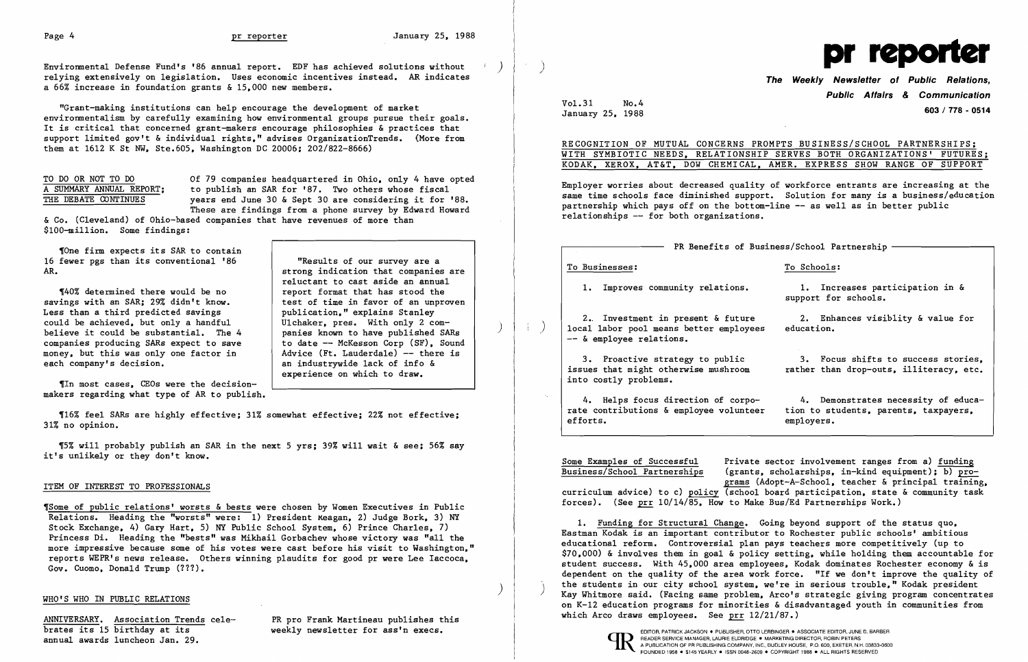Environmental Defense Fund's '86 annual report. EDF has achieved solutions without relying extensively on legislation. Uses economic incentives instead. AR indicates a 66% increase in foundation grants & 15.000 new members.

"Grant-making institutions can help encourage the development of market environmentalism by carefully examining how environmental groups pursue their goals. It is critical that concerned grant-makers encourage philosophies & practices that support limited gov't & individual rights." advises OrganizationTrends. (More from them at 1612 K St NW. Ste.605. Washington DC 20006; 202/822-8666)

TO DO OR NOT TO DO 00 00 Of 79 companies headquartered in Ohio, only 4 have opted A SUMMARY ANNUAL REPORT; to publish an SAR for '87. Two others whose fiscal A SUMMARY ANNUAL REPORT; to publish an SAR for '87. Two others whose fiscal<br>THE DEBATE CONTINUES vears end June 30 & Sept 30 are considering it for ' years end June 30 & Sept 30 are considering it for '88. These are findings from a phone survey by Edward Howard

'One firm expects its SAR to contain 16 fewer pgs than its conventional '86 **The State of Secults of our survey are a**<br>AR.

savings with an SAR; 29% didn't know.<br>Less than a third predicted savings  $\begin{array}{c|c} \text{test of time in favor of an unp} \end{array}$ Less than a third predicted savings <br>
could be achieved, but only a handful Wichaker, pres. With only 2 comcould be achieved, but only a handful and U1chaker, pres. With only 2 com-<br>believe it could be substantial. The 4 and panies known to have published SARs believe it could be substantial. The 4 panies known to have published SARs<br>companies producing SARs expect to save to date -- McKesson Corp (SF). Sound companies producing SARs expect to save to date -- McKesson Corp (SF), Sound<br>money, but this was only one factor in Advice (Ft. Lauderdale) -- there is money, but this was only one factor in each company's decision.

strong indication that companies are reluctant to cast aside an annual  $\P$ 40% determined there would be no  $\left\{\right.$  report format that has stood the rings with an SAR; 29% didn't know. test of time in favor of an unproven an industrywide lack of info & experience on which to draw.

& Co. (Cleveland) of Ohio-based companies that have revenues of more than \$100-mi11ion. Some findings:

,Some of public relations' worsts & bests were chosen by Women Executives in Public Relations. Heading the "worsts" were: 1) President xeagan, 2) Judge Bork, 3) NY Stock Exchange. 4) Gary Hart. 5) NY Public School System. 6) Prince Charles. 7) Princess Di. Heading the "bests" was Mikhail Gorbachev whose victory was "all the more impressive because some of his votes were cast before his visit to Washington." reports WEPR's news release. Others winning plaudits for good pr were Lee Iaccoca. Gov. Cuomo, Donald Trump (???).

MNIVERSARY. Association Trends cele- PR pro Frank Martineau publishes this which Arco draws employees. See prr 12/21/87.)<br>Drates its 15 birthday at its weekly newsletter for ass'n execs. EDITOR PATRICK JACKSON . PUBLISHER, OTTO LERBINGER . ASSOCIATE EDITOR, JUNE D. BARBER WEER WEER ASSOCIATE AND PUBLISHER OTTO LERBINGER . ASSOCIATE EDITOR, JUNE D. BARBER WEER AND TREADER SERVICE MANAGER, LAURIE ELDRIDGE .

RECOGNITION OF MUTUAL CONCERNS PROMPTS BUSINESS/SCHOOL PARTNERSHIPS; WITH SYMBIOTIC NEEDS. RELATIONSHIP SERVES BOTH ORGANIZATIONS' FUTURES; KODAK. XEROX. AT&T. DOW CHEMICAL. AMER. EXPRESS SHOW RANGE OF SUPPORT

1. Improves community relations. 1. Increases participation in & support for schools.

3. Proactive strategy to public 3. Focus shifts to success stories,<br>issues that might otherwise mushroom rather than drop-outs. illiteracy. etc. rather than drop-outs. illiteracy. etc.

,In most cases. CEOs were the decisionmakers regarding what type of AR to publish.

'16% feel SARs are highly effective; 31% somewhat effective; 22% not effective; 31% no opinion.

'5% will probably publish an SAR in the next 5 yrs; 39% will wait & see; 56% say it's unlikely or they don't know.

### ITEM OF INTEREST TO PROFESSIONALS

Some Examples of Successful<br>Business/School Partnerships (grants, scholarships, in-kind equipment); b) pro- $\frac{1}{2}$  (grants, scholarships, in-kind equipment); b) programs (Adopt-A-Schoo1. teacher & principal training. curriculum advice) to c) policy (school board participation. state & community task forces). (See prr 10/14/85. How to Make Bus/Ed Partnerships Work.)

) )

 $\left( \begin{array}{c} \cdot & \cdot \end{array} \right)$ 



Vo1.31 January 25. 1988 No.4

## **The Weekly Newsletter of Public Relations, Public Affairs**  *&* **Communication 603/ 778 - 0514**

Employer worries about decreased quality of workforce entrants are increasing at the same time schools face diminished support. Solution for many is a business/education partnership which pays off on the bottom-line  $--$  as well as in better public relationships -- for both organizations.

- PR Benefits of Business/School Partnership -

To Businesses: To Schools:

2. Investment in present & future 2. Enhances visiblity & value for<br>al labor pool means better emplovees education. local labor pool means better employees -- & employee relations.

into costly problems.

4. Helps focus direction of corpo-<br>e contributions & employee volunteer tion to students, parents, taxpayers. rate contributions & employee volunteer<br>efforts. employers.

1. Funding for Structural Change. Going beyond support of the status quo. Eastman Kodak is an important contributor to Rochester public schools' ambitious educational reform. Controversial plan pays teachers more competitively (up to \$70.000) & involves them in goal & policy setting. while holding them accountable for student success. With 45.000 area employees. Kodak dominates Rochester economy & is dependent on the quality of the area work force. "If we don't improve the quality of<br>the students in our city school system, we're in serious trouble," Kodak president WHO'S WHO IN PUBLIC RELATIONS **in the student of the serious of the serious trouble.** Arco's strategic giving program concentrates WHO'S WHO IN PUBLIC RELATIONS on K-12 education programs for minorities & disadvantaged youth in communities from